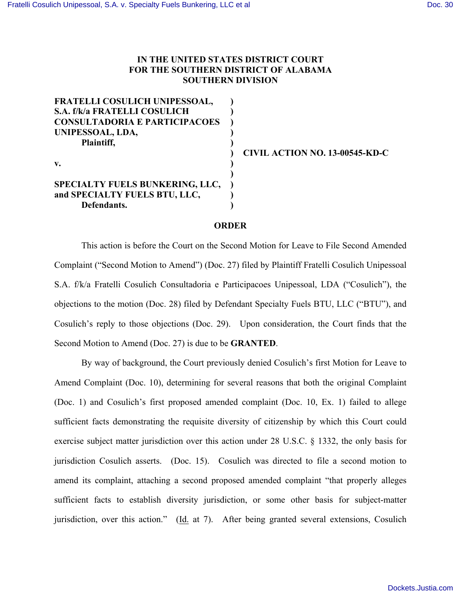# **IN THE UNITED STATES DISTRICT COURT FOR THE SOUTHERN DISTRICT OF ALABAMA SOUTHERN DIVISION**

| FRATELLI COSULICH UNIPESSOAL,          |  |
|----------------------------------------|--|
| S.A. f/k/a FRATELLI COSULICH           |  |
| <b>CONSULTADORIA E PARTICIPACOES</b>   |  |
| UNIPESSOAL, LDA,                       |  |
| Plaintiff,                             |  |
|                                        |  |
| $\mathbf{v}$ .                         |  |
|                                        |  |
| <b>SPECIALTY FUELS BUNKERING, LLC,</b> |  |
| and SPECIALTY FUELS BTU, LLC,          |  |
| Defendants.                            |  |

**) CIVIL ACTION NO. 13-00545-KD-C**

#### **ORDER**

This action is before the Court on the Second Motion for Leave to File Second Amended Complaint ("Second Motion to Amend") (Doc. 27) filed by Plaintiff Fratelli Cosulich Unipessoal S.A. f/k/a Fratelli Cosulich Consultadoria e Participacoes Unipessoal, LDA ("Cosulich"), the objections to the motion (Doc. 28) filed by Defendant Specialty Fuels BTU, LLC ("BTU"), and Cosulich's reply to those objections (Doc. 29). Upon consideration, the Court finds that the Second Motion to Amend (Doc. 27) is due to be **GRANTED**.

By way of background, the Court previously denied Cosulich's first Motion for Leave to Amend Complaint (Doc. 10), determining for several reasons that both the original Complaint (Doc. 1) and Cosulich's first proposed amended complaint (Doc. 10, Ex. 1) failed to allege sufficient facts demonstrating the requisite diversity of citizenship by which this Court could exercise subject matter jurisdiction over this action under 28 U.S.C. § 1332, the only basis for jurisdiction Cosulich asserts. (Doc. 15). Cosulich was directed to file a second motion to amend its complaint, attaching a second proposed amended complaint "that properly alleges sufficient facts to establish diversity jurisdiction, or some other basis for subject-matter jurisdiction, over this action." (Id. at 7). After being granted several extensions, Cosulich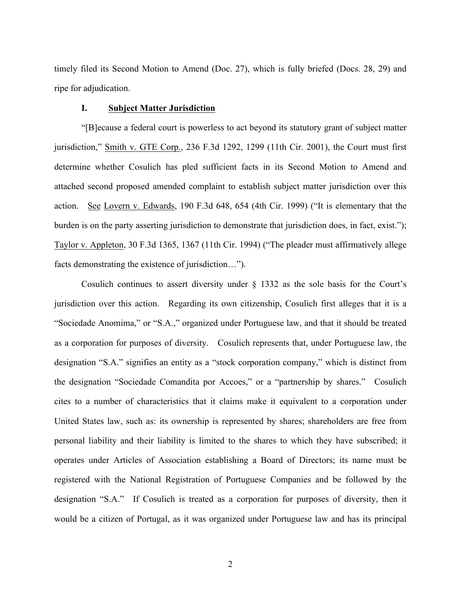timely filed its Second Motion to Amend (Doc. 27), which is fully briefed (Docs. 28, 29) and ripe for adjudication.

# **I. Subject Matter Jurisdiction**

"[B]ecause a federal court is powerless to act beyond its statutory grant of subject matter jurisdiction," Smith v. GTE Corp., 236 F.3d 1292, 1299 (11th Cir. 2001), the Court must first determine whether Cosulich has pled sufficient facts in its Second Motion to Amend and attached second proposed amended complaint to establish subject matter jurisdiction over this action. See Lovern v. Edwards, 190 F.3d 648, 654 (4th Cir. 1999) ("It is elementary that the burden is on the party asserting jurisdiction to demonstrate that jurisdiction does, in fact, exist."); Taylor v. Appleton, 30 F.3d 1365, 1367 (11th Cir. 1994) ("The pleader must affirmatively allege facts demonstrating the existence of jurisdiction…").

Cosulich continues to assert diversity under  $\S$  1332 as the sole basis for the Court's jurisdiction over this action. Regarding its own citizenship, Cosulich first alleges that it is a "Sociedade Anomima," or "S.A.," organized under Portuguese law, and that it should be treated as a corporation for purposes of diversity. Cosulich represents that, under Portuguese law, the designation "S.A." signifies an entity as a "stock corporation company," which is distinct from the designation "Sociedade Comandita por Accoes," or a "partnership by shares." Cosulich cites to a number of characteristics that it claims make it equivalent to a corporation under United States law, such as: its ownership is represented by shares; shareholders are free from personal liability and their liability is limited to the shares to which they have subscribed; it operates under Articles of Association establishing a Board of Directors; its name must be registered with the National Registration of Portuguese Companies and be followed by the designation "S.A." If Cosulich is treated as a corporation for purposes of diversity, then it would be a citizen of Portugal, as it was organized under Portuguese law and has its principal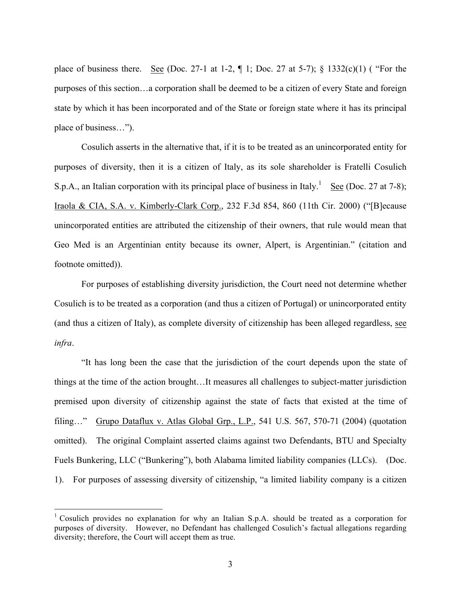place of business there. See (Doc. 27-1 at 1-2,  $\P$  1; Doc. 27 at 5-7); § 1332(c)(1) ( "For the purposes of this section…a corporation shall be deemed to be a citizen of every State and foreign state by which it has been incorporated and of the State or foreign state where it has its principal place of business…").

Cosulich asserts in the alternative that, if it is to be treated as an unincorporated entity for purposes of diversity, then it is a citizen of Italy, as its sole shareholder is Fratelli Cosulich S.p.A., an Italian corporation with its principal place of business in Italy.<sup>1</sup> See (Doc. 27 at 7-8); Iraola & CIA, S.A. v. Kimberly-Clark Corp., 232 F.3d 854, 860 (11th Cir. 2000) ("[B]ecause unincorporated entities are attributed the citizenship of their owners, that rule would mean that Geo Med is an Argentinian entity because its owner, Alpert, is Argentinian." (citation and footnote omitted)).

For purposes of establishing diversity jurisdiction, the Court need not determine whether Cosulich is to be treated as a corporation (and thus a citizen of Portugal) or unincorporated entity (and thus a citizen of Italy), as complete diversity of citizenship has been alleged regardless, see *infra*.

"It has long been the case that the jurisdiction of the court depends upon the state of things at the time of the action brought…It measures all challenges to subject-matter jurisdiction premised upon diversity of citizenship against the state of facts that existed at the time of filing..." Grupo Dataflux v. Atlas Global Grp., L.P., 541 U.S. 567, 570-71 (2004) (quotation omitted). The original Complaint asserted claims against two Defendants, BTU and Specialty Fuels Bunkering, LLC ("Bunkering"), both Alabama limited liability companies (LLCs). (Doc. 1). For purposes of assessing diversity of citizenship, "a limited liability company is a citizen

<sup>&</sup>lt;sup>1</sup> Cosulich provides no explanation for why an Italian S.p.A. should be treated as a corporation for purposes of diversity. However, no Defendant has challenged Cosulich's factual allegations regarding diversity; therefore, the Court will accept them as true.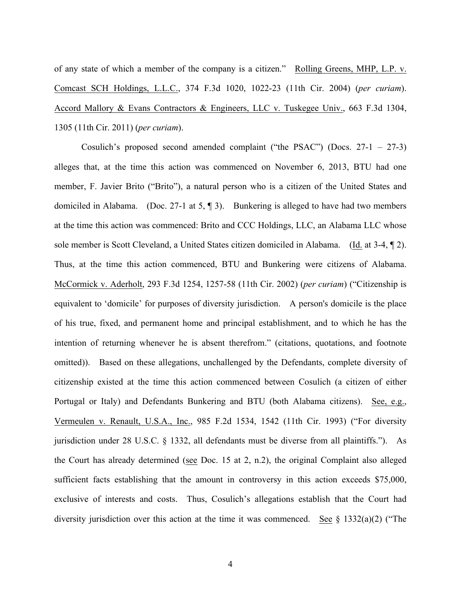of any state of which a member of the company is a citizen." Rolling Greens, MHP, L.P. v. Comcast SCH Holdings, L.L.C., 374 F.3d 1020, 1022-23 (11th Cir. 2004) (*per curiam*). Accord Mallory & Evans Contractors & Engineers, LLC v. Tuskegee Univ., 663 F.3d 1304, 1305 (11th Cir. 2011) (*per curiam*).

Cosulich's proposed second amended complaint ("the PSAC") (Docs. 27-1 – 27-3) alleges that, at the time this action was commenced on November 6, 2013, BTU had one member, F. Javier Brito ("Brito"), a natural person who is a citizen of the United States and domiciled in Alabama. (Doc. 27-1 at 5, ¶ 3). Bunkering is alleged to have had two members at the time this action was commenced: Brito and CCC Holdings, LLC, an Alabama LLC whose sole member is Scott Cleveland, a United States citizen domiciled in Alabama. (Id. at 3-4, ¶ 2). Thus, at the time this action commenced, BTU and Bunkering were citizens of Alabama. McCormick v. Aderholt, 293 F.3d 1254, 1257-58 (11th Cir. 2002) (*per curiam*) ("Citizenship is equivalent to 'domicile' for purposes of diversity jurisdiction. A person's domicile is the place of his true, fixed, and permanent home and principal establishment, and to which he has the intention of returning whenever he is absent therefrom." (citations, quotations, and footnote omitted)). Based on these allegations, unchallenged by the Defendants, complete diversity of citizenship existed at the time this action commenced between Cosulich (a citizen of either Portugal or Italy) and Defendants Bunkering and BTU (both Alabama citizens). See, e.g., Vermeulen v. Renault, U.S.A., Inc., 985 F.2d 1534, 1542 (11th Cir. 1993) ("For diversity jurisdiction under 28 U.S.C. § 1332, all defendants must be diverse from all plaintiffs."). As the Court has already determined (see Doc. 15 at 2, n.2), the original Complaint also alleged sufficient facts establishing that the amount in controversy in this action exceeds \$75,000, exclusive of interests and costs. Thus, Cosulich's allegations establish that the Court had diversity jurisdiction over this action at the time it was commenced. See  $\S$  1332(a)(2) ("The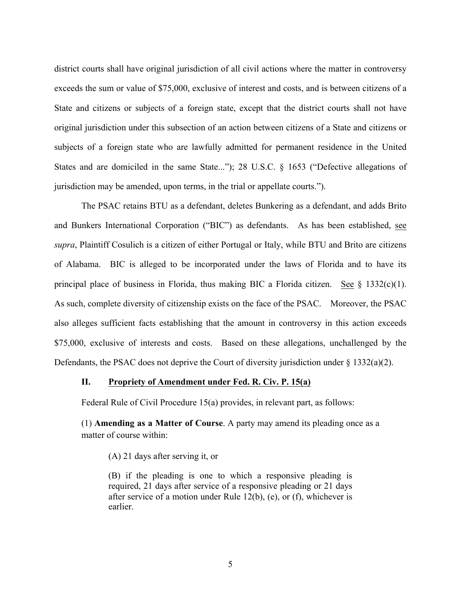district courts shall have original jurisdiction of all civil actions where the matter in controversy exceeds the sum or value of \$75,000, exclusive of interest and costs, and is between citizens of a State and citizens or subjects of a foreign state, except that the district courts shall not have original jurisdiction under this subsection of an action between citizens of a State and citizens or subjects of a foreign state who are lawfully admitted for permanent residence in the United States and are domiciled in the same State..."); 28 U.S.C. § 1653 ("Defective allegations of jurisdiction may be amended, upon terms, in the trial or appellate courts.").

The PSAC retains BTU as a defendant, deletes Bunkering as a defendant, and adds Brito and Bunkers International Corporation ("BIC") as defendants. As has been established, see *supra*, Plaintiff Cosulich is a citizen of either Portugal or Italy, while BTU and Brito are citizens of Alabama. BIC is alleged to be incorporated under the laws of Florida and to have its principal place of business in Florida, thus making BIC a Florida citizen. See  $\S$  1332(c)(1). As such, complete diversity of citizenship exists on the face of the PSAC. Moreover, the PSAC also alleges sufficient facts establishing that the amount in controversy in this action exceeds \$75,000, exclusive of interests and costs. Based on these allegations, unchallenged by the Defendants, the PSAC does not deprive the Court of diversity jurisdiction under  $\S$  1332(a)(2).

#### **II. Propriety of Amendment under Fed. R. Civ. P. 15(a)**

Federal Rule of Civil Procedure 15(a) provides, in relevant part, as follows:

(1) **Amending as a Matter of Course**. A party may amend its pleading once as a matter of course within:

(A) 21 days after serving it, or

(B) if the pleading is one to which a responsive pleading is required, 21 days after service of a responsive pleading or 21 days after service of a motion under Rule 12(b), (e), or (f), whichever is earlier.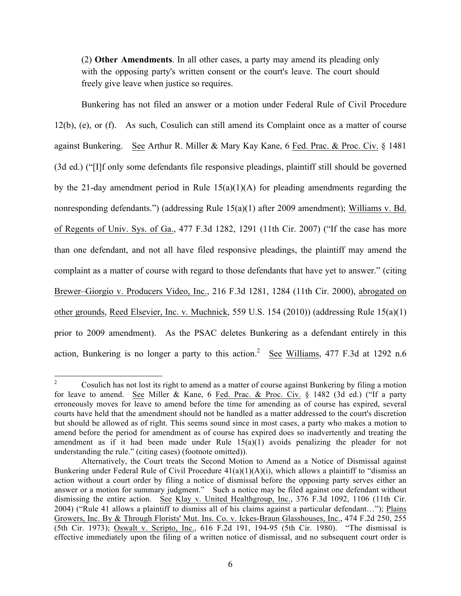(2) **Other Amendments**. In all other cases, a party may amend its pleading only with the opposing party's written consent or the court's leave. The court should freely give leave when justice so requires.

Bunkering has not filed an answer or a motion under Federal Rule of Civil Procedure 12(b), (e), or (f). As such, Cosulich can still amend its Complaint once as a matter of course against Bunkering. See Arthur R. Miller & Mary Kay Kane, 6 Fed. Prac. & Proc. Civ. § 1481 (3d ed.) ("[I]f only some defendants file responsive pleadings, plaintiff still should be governed by the 21-day amendment period in Rule  $15(a)(1)(A)$  for pleading amendments regarding the nonresponding defendants.") (addressing Rule 15(a)(1) after 2009 amendment); Williams v. Bd. of Regents of Univ. Sys. of Ga., 477 F.3d 1282, 1291 (11th Cir. 2007) ("If the case has more than one defendant, and not all have filed responsive pleadings, the plaintiff may amend the complaint as a matter of course with regard to those defendants that have yet to answer." (citing Brewer–Giorgio v. Producers Video, Inc., 216 F.3d 1281, 1284 (11th Cir. 2000), abrogated on other grounds, Reed Elsevier, Inc. v. Muchnick, 559 U.S. 154 (2010)) (addressing Rule 15(a)(1) prior to 2009 amendment). As the PSAC deletes Bunkering as a defendant entirely in this action, Bunkering is no longer a party to this action.<sup>2</sup> See Williams, 477 F.3d at 1292 n.6

<sup>&</sup>lt;sup>2</sup> Cosulich has not lost its right to amend as a matter of course against Bunkering by filing a motion for leave to amend. See Miller & Kane, 6 Fed. Prac. & Proc. Civ. § 1482 (3d ed.) ("If a party erroneously moves for leave to amend before the time for amending as of course has expired, several courts have held that the amendment should not be handled as a matter addressed to the court's discretion but should be allowed as of right. This seems sound since in most cases, a party who makes a motion to amend before the period for amendment as of course has expired does so inadvertently and treating the amendment as if it had been made under Rule  $15(a)(1)$  avoids penalizing the pleader for not understanding the rule." (citing cases) (footnote omitted)).

Alternatively, the Court treats the Second Motion to Amend as a Notice of Dismissal against Bunkering under Federal Rule of Civil Procedure  $41(a)(1)(A)(i)$ , which allows a plaintiff to "dismiss an action without a court order by filing a notice of dismissal before the opposing party serves either an answer or a motion for summary judgment." Such a notice may be filed against one defendant without dismissing the entire action. See Klay v. United Healthgroup, Inc., 376 F.3d 1092, 1106 (11th Cir. 2004) ("Rule 41 allows a plaintiff to dismiss all of his claims against a particular defendant…"); Plains Growers, Inc. By & Through Florists' Mut. Ins. Co. v. Ickes-Braun Glasshouses, Inc., 474 F.2d 250, 255 (5th Cir. 1973); Oswalt v. Scripto, Inc., 616 F.2d 191, 194-95 (5th Cir. 1980). "The dismissal is effective immediately upon the filing of a written notice of dismissal, and no subsequent court order is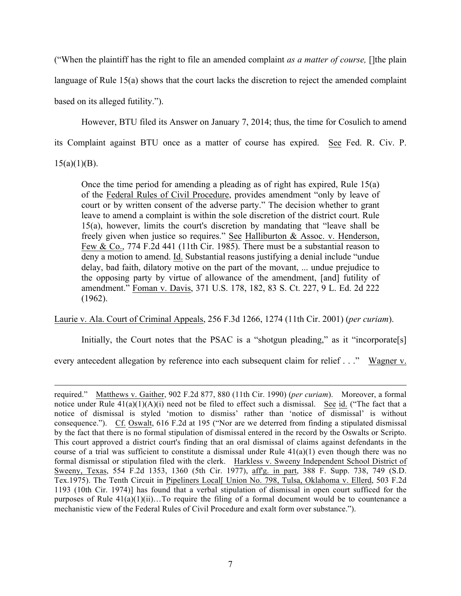("When the plaintiff has the right to file an amended complaint *as a matter of course,* []the plain language of Rule 15(a) shows that the court lacks the discretion to reject the amended complaint based on its alleged futility.").

However, BTU filed its Answer on January 7, 2014; thus, the time for Cosulich to amend its Complaint against BTU once as a matter of course has expired. See Fed. R. Civ. P.

 $15(a)(1)(B)$ .

 $\overline{a}$ 

Once the time period for amending a pleading as of right has expired, Rule 15(a) of the Federal Rules of Civil Procedure, provides amendment "only by leave of court or by written consent of the adverse party." The decision whether to grant leave to amend a complaint is within the sole discretion of the district court. Rule 15(a), however, limits the court's discretion by mandating that "leave shall be freely given when justice so requires." See Halliburton & Assoc. v. Henderson, Few & Co., 774 F.2d 441 (11th Cir. 1985). There must be a substantial reason to deny a motion to amend. Id. Substantial reasons justifying a denial include "undue delay, bad faith, dilatory motive on the part of the movant, ... undue prejudice to the opposing party by virtue of allowance of the amendment, [and] futility of amendment." Foman v. Davis, 371 U.S. 178, 182, 83 S. Ct. 227, 9 L. Ed. 2d 222 (1962).

Laurie v. Ala. Court of Criminal Appeals, 256 F.3d 1266, 1274 (11th Cir. 2001) (*per curiam*).

Initially, the Court notes that the PSAC is a "shotgun pleading," as it "incorporate[s]

every antecedent allegation by reference into each subsequent claim for relief . . ." Wagner v.

required." Matthews v. Gaither, 902 F.2d 877, 880 (11th Cir. 1990) (*per curiam*). Moreover, a formal notice under Rule  $41(a)(1)(A)(i)$  need not be filed to effect such a dismissal. See id. ("The fact that a notice of dismissal is styled 'motion to dismiss' rather than 'notice of dismissal' is without consequence."). Cf. Oswalt, 616 F.2d at 195 ("Nor are we deterred from finding a stipulated dismissal by the fact that there is no formal stipulation of dismissal entered in the record by the Oswalts or Scripto. This court approved a district court's finding that an oral dismissal of claims against defendants in the course of a trial was sufficient to constitute a dismissal under Rule  $41(a)(1)$  even though there was no formal dismissal or stipulation filed with the clerk. Harkless v. Sweeny Independent School District of Sweeny, Texas, 554 F.2d 1353, 1360 (5th Cir. 1977), aff'g. in part, 388 F. Supp. 738, 749 (S.D. Tex.1975). The Tenth Circuit in Pipeliners Local[ Union No. 798, Tulsa, Oklahoma v. Ellerd, 503 F.2d 1193 (10th Cir. 1974)] has found that a verbal stipulation of dismissal in open court sufficed for the purposes of Rule  $41(a)(1)(ii)$ …To require the filing of a formal document would be to countenance a mechanistic view of the Federal Rules of Civil Procedure and exalt form over substance.").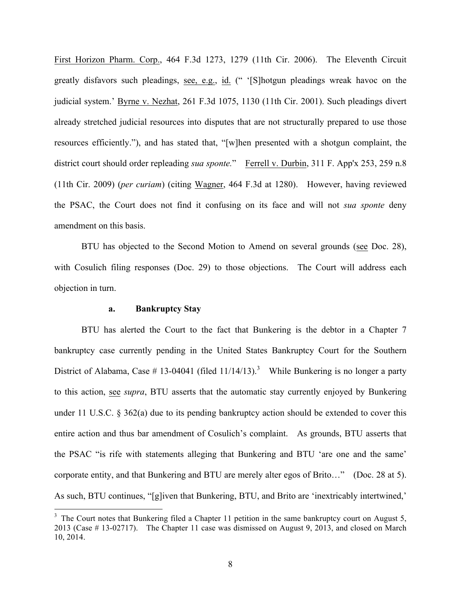First Horizon Pharm. Corp., 464 F.3d 1273, 1279 (11th Cir. 2006). The Eleventh Circuit greatly disfavors such pleadings, see, e.g., id. (" '[S]hotgun pleadings wreak havoc on the judicial system.' Byrne v. Nezhat, 261 F.3d 1075, 1130 (11th Cir. 2001). Such pleadings divert already stretched judicial resources into disputes that are not structurally prepared to use those resources efficiently."), and has stated that, "[w]hen presented with a shotgun complaint, the district court should order repleading *sua sponte.*" Ferrell v. Durbin, 311 F. App'x 253, 259 n.8 (11th Cir. 2009) (*per curiam*) (citing Wagner, 464 F.3d at 1280). However, having reviewed the PSAC, the Court does not find it confusing on its face and will not *sua sponte* deny amendment on this basis.

BTU has objected to the Second Motion to Amend on several grounds (see Doc. 28), with Cosulich filing responses (Doc. 29) to those objections. The Court will address each objection in turn.

### **a. Bankruptcy Stay**

BTU has alerted the Court to the fact that Bunkering is the debtor in a Chapter 7 bankruptcy case currently pending in the United States Bankruptcy Court for the Southern District of Alabama, Case # 13-04041 (filed  $11/14/13$ ).<sup>3</sup> While Bunkering is no longer a party to this action, see *supra*, BTU asserts that the automatic stay currently enjoyed by Bunkering under 11 U.S.C. § 362(a) due to its pending bankruptcy action should be extended to cover this entire action and thus bar amendment of Cosulich's complaint. As grounds, BTU asserts that the PSAC "is rife with statements alleging that Bunkering and BTU 'are one and the same' corporate entity, and that Bunkering and BTU are merely alter egos of Brito…" (Doc. 28 at 5). As such, BTU continues, "[g]iven that Bunkering, BTU, and Brito are 'inextricably intertwined,'

<sup>&</sup>lt;sup>3</sup> The Court notes that Bunkering filed a Chapter 11 petition in the same bankruptcy court on August 5, 2013 (Case # 13-02717). The Chapter 11 case was dismissed on August 9, 2013, and closed on March 10, 2014.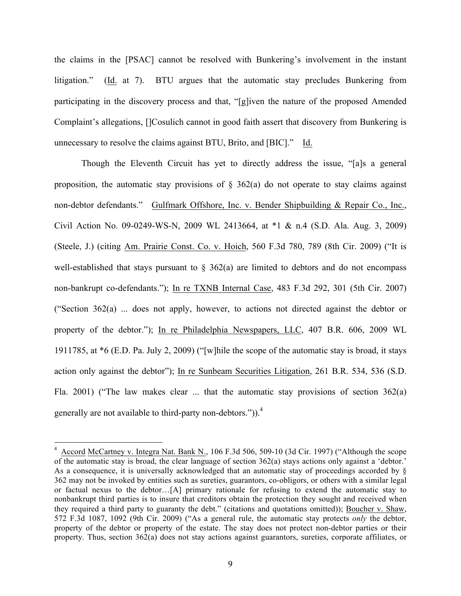the claims in the [PSAC] cannot be resolved with Bunkering's involvement in the instant litigation." (Id. at 7). BTU argues that the automatic stay precludes Bunkering from participating in the discovery process and that, "[g]iven the nature of the proposed Amended Complaint's allegations, []Cosulich cannot in good faith assert that discovery from Bunkering is unnecessary to resolve the claims against BTU, Brito, and [BIC]." Id.

Though the Eleventh Circuit has yet to directly address the issue, "[a]s a general proposition, the automatic stay provisions of  $\S$  362(a) do not operate to stay claims against non-debtor defendants." Gulfmark Offshore, Inc. v. Bender Shipbuilding & Repair Co., Inc., Civil Action No. 09-0249-WS-N, 2009 WL 2413664, at \*1 & n.4 (S.D. Ala. Aug. 3, 2009) (Steele, J.) (citing Am. Prairie Const. Co. v. Hoich, 560 F.3d 780, 789 (8th Cir. 2009) ("It is well-established that stays pursuant to  $\S$  362(a) are limited to debtors and do not encompass non-bankrupt co-defendants."); In re TXNB Internal Case, 483 F.3d 292, 301 (5th Cir. 2007) ("Section 362(a) ... does not apply, however, to actions not directed against the debtor or property of the debtor."); In re Philadelphia Newspapers, LLC, 407 B.R. 606, 2009 WL 1911785, at \*6 (E.D. Pa. July 2, 2009) ("[w]hile the scope of the automatic stay is broad, it stays action only against the debtor"); In re Sunbeam Securities Litigation, 261 B.R. 534, 536 (S.D. Fla. 2001) ("The law makes clear ... that the automatic stay provisions of section  $362(a)$ generally are not available to third-party non-debtors.")). $^{4}$ 

 $4$  Accord McCartney v. Integra Nat. Bank N<sub>1</sub>, 106 F.3d 506, 509-10 (3d Cir. 1997) ("Although the scope of the automatic stay is broad, the clear language of section 362(a) stays actions only against a 'debtor.' As a consequence, it is universally acknowledged that an automatic stay of proceedings accorded by § 362 may not be invoked by entities such as sureties, guarantors, co-obligors, or others with a similar legal or factual nexus to the debtor…[A] primary rationale for refusing to extend the automatic stay to nonbankrupt third parties is to insure that creditors obtain the protection they sought and received when they required a third party to guaranty the debt." (citations and quotations omitted)); Boucher v. Shaw, 572 F.3d 1087, 1092 (9th Cir. 2009) ("As a general rule, the automatic stay protects *only* the debtor, property of the debtor or property of the estate. The stay does not protect non-debtor parties or their property. Thus, section 362(a) does not stay actions against guarantors, sureties, corporate affiliates, or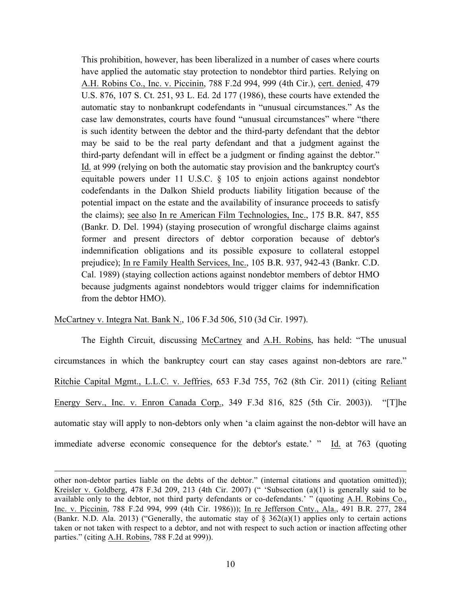This prohibition, however, has been liberalized in a number of cases where courts have applied the automatic stay protection to nondebtor third parties. Relying on A.H. Robins Co., Inc. v. Piccinin, 788 F.2d 994, 999 (4th Cir.), cert. denied, 479 U.S. 876, 107 S. Ct. 251, 93 L. Ed. 2d 177 (1986), these courts have extended the automatic stay to nonbankrupt codefendants in "unusual circumstances." As the case law demonstrates, courts have found "unusual circumstances" where "there is such identity between the debtor and the third-party defendant that the debtor may be said to be the real party defendant and that a judgment against the third-party defendant will in effect be a judgment or finding against the debtor." Id. at 999 (relying on both the automatic stay provision and the bankruptcy court's equitable powers under 11 U.S.C. § 105 to enjoin actions against nondebtor codefendants in the Dalkon Shield products liability litigation because of the potential impact on the estate and the availability of insurance proceeds to satisfy the claims); see also In re American Film Technologies, Inc., 175 B.R. 847, 855 (Bankr. D. Del. 1994) (staying prosecution of wrongful discharge claims against former and present directors of debtor corporation because of debtor's indemnification obligations and its possible exposure to collateral estoppel prejudice); In re Family Health Services, Inc., 105 B.R. 937, 942-43 (Bankr. C.D. Cal. 1989) (staying collection actions against nondebtor members of debtor HMO because judgments against nondebtors would trigger claims for indemnification from the debtor HMO).

McCartney v. Integra Nat. Bank N., 106 F.3d 506, 510 (3d Cir. 1997).

 $\overline{a}$ 

The Eighth Circuit, discussing McCartney and A.H. Robins, has held: "The unusual circumstances in which the bankruptcy court can stay cases against non-debtors are rare." Ritchie Capital Mgmt., L.L.C. v. Jeffries, 653 F.3d 755, 762 (8th Cir. 2011) (citing Reliant Energy Serv., Inc. v. Enron Canada Corp., 349 F.3d 816, 825 (5th Cir. 2003)). "[T]he automatic stay will apply to non-debtors only when 'a claim against the non-debtor will have an immediate adverse economic consequence for the debtor's estate.' " Id. at 763 (quoting

other non-debtor parties liable on the debts of the debtor." (internal citations and quotation omitted)); Kreisler v. Goldberg, 478 F.3d 209, 213 (4th Cir. 2007) (" 'Subsection (a)(1) is generally said to be available only to the debtor, not third party defendants or co-defendants.' " (quoting A.H. Robins Co., Inc. v. Piccinin, 788 F.2d 994, 999 (4th Cir. 1986))); In re Jefferson Cnty., Ala., 491 B.R. 277, 284 (Bankr. N.D. Ala. 2013) ("Generally, the automatic stay of  $\S$  362(a)(1) applies only to certain actions taken or not taken with respect to a debtor, and not with respect to such action or inaction affecting other parties." (citing A.H. Robins, 788 F.2d at 999)).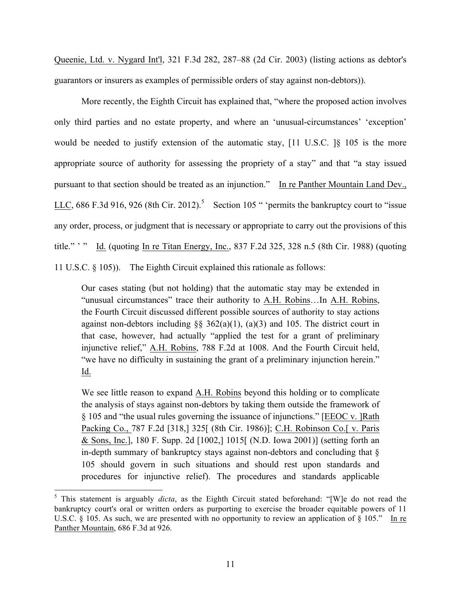Queenie, Ltd. v. Nygard Int'l, 321 F.3d 282, 287–88 (2d Cir. 2003) (listing actions as debtor's guarantors or insurers as examples of permissible orders of stay against non-debtors)).

More recently, the Eighth Circuit has explained that, "where the proposed action involves only third parties and no estate property, and where an 'unusual-circumstances' 'exception' would be needed to justify extension of the automatic stay, [11 U.S.C. ]§ 105 is the more appropriate source of authority for assessing the propriety of a stay" and that "a stay issued pursuant to that section should be treated as an injunction." In re Panther Mountain Land Dev., LLC, 686 F.3d 916, 926 (8th Cir. 2012).<sup>5</sup> Section 105 " 'permits the bankruptcy court to "issue any order, process, or judgment that is necessary or appropriate to carry out the provisions of this title." ' " Id. (quoting In re Titan Energy, Inc., 837 F.2d 325, 328 n.5 (8th Cir. 1988) (quoting 11 U.S.C. § 105)). The Eighth Circuit explained this rationale as follows:

Our cases stating (but not holding) that the automatic stay may be extended in "unusual circumstances" trace their authority to A.H. Robins…In A.H. Robins, the Fourth Circuit discussed different possible sources of authority to stay actions against non-debtors including  $\S$ § 362(a)(1), (a)(3) and 105. The district court in that case, however, had actually "applied the test for a grant of preliminary injunctive relief," A.H. Robins, 788 F.2d at 1008. And the Fourth Circuit held, "we have no difficulty in sustaining the grant of a preliminary injunction herein." Id.

We see little reason to expand A.H. Robins beyond this holding or to complicate the analysis of stays against non-debtors by taking them outside the framework of § 105 and "the usual rules governing the issuance of injunctions." [EEOC v. ]Rath Packing Co., 787 F.2d [318,] 325[ (8th Cir. 1986)]; C.H. Robinson Co.[ v. Paris & Sons, Inc.], 180 F. Supp. 2d [1002,] 1015[ (N.D. Iowa 2001)] (setting forth an in-depth summary of bankruptcy stays against non-debtors and concluding that § 105 should govern in such situations and should rest upon standards and procedures for injunctive relief). The procedures and standards applicable

 <sup>5</sup> This statement is arguably *dicta*, as the Eighth Circuit stated beforehand: "[W]e do not read the bankruptcy court's oral or written orders as purporting to exercise the broader equitable powers of 11 U.S.C. § 105. As such, we are presented with no opportunity to review an application of § 105." In re Panther Mountain, 686 F.3d at 926.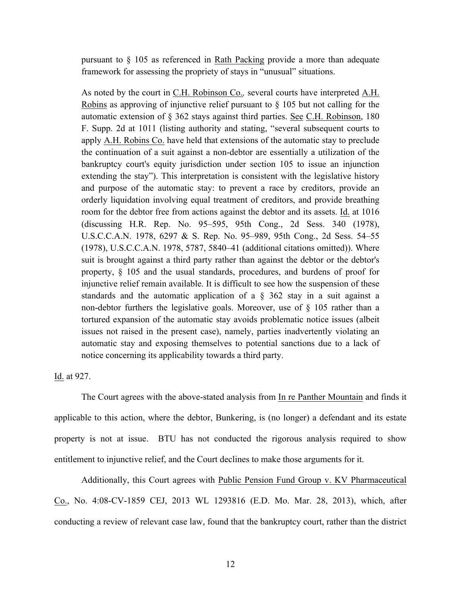pursuant to § 105 as referenced in Rath Packing provide a more than adequate framework for assessing the propriety of stays in "unusual" situations.

As noted by the court in C.H. Robinson Co.*,* several courts have interpreted A.H. Robins as approving of injunctive relief pursuant to § 105 but not calling for the automatic extension of § 362 stays against third parties. See C.H. Robinson, 180 F. Supp. 2d at 1011 (listing authority and stating, "several subsequent courts to apply A.H. Robins Co. have held that extensions of the automatic stay to preclude the continuation of a suit against a non-debtor are essentially a utilization of the bankruptcy court's equity jurisdiction under section 105 to issue an injunction extending the stay"). This interpretation is consistent with the legislative history and purpose of the automatic stay: to prevent a race by creditors, provide an orderly liquidation involving equal treatment of creditors, and provide breathing room for the debtor free from actions against the debtor and its assets. Id. at 1016 (discussing H.R. Rep. No. 95–595, 95th Cong., 2d Sess. 340 (1978), U.S.C.C.A.N. 1978, 6297 & S. Rep. No. 95–989, 95th Cong., 2d Sess. 54–55 (1978), U.S.C.C.A.N. 1978, 5787, 5840–41 (additional citations omitted)). Where suit is brought against a third party rather than against the debtor or the debtor's property, § 105 and the usual standards, procedures, and burdens of proof for injunctive relief remain available. It is difficult to see how the suspension of these standards and the automatic application of a § 362 stay in a suit against a non-debtor furthers the legislative goals. Moreover, use of § 105 rather than a tortured expansion of the automatic stay avoids problematic notice issues (albeit issues not raised in the present case), namely, parties inadvertently violating an automatic stay and exposing themselves to potential sanctions due to a lack of notice concerning its applicability towards a third party.

Id. at 927.

The Court agrees with the above-stated analysis from In re Panther Mountain and finds it applicable to this action, where the debtor, Bunkering, is (no longer) a defendant and its estate property is not at issue. BTU has not conducted the rigorous analysis required to show entitlement to injunctive relief, and the Court declines to make those arguments for it.

Additionally, this Court agrees with Public Pension Fund Group v. KV Pharmaceutical Co., No. 4:08-CV-1859 CEJ, 2013 WL 1293816 (E.D. Mo. Mar. 28, 2013), which, after conducting a review of relevant case law, found that the bankruptcy court, rather than the district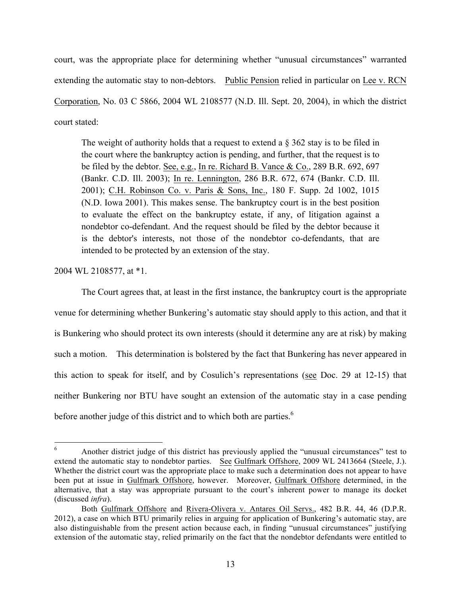court, was the appropriate place for determining whether "unusual circumstances" warranted extending the automatic stay to non-debtors. Public Pension relied in particular on Lee v. RCN Corporation, No. 03 C 5866, 2004 WL 2108577 (N.D. Ill. Sept. 20, 2004), in which the district court stated:

The weight of authority holds that a request to extend a  $\S 362$  stay is to be filed in the court where the bankruptcy action is pending, and further, that the request is to be filed by the debtor. See, e.g., In re. Richard B. Vance & Co., 289 B.R. 692, 697 (Bankr. C.D. Ill. 2003); In re. Lennington, 286 B.R. 672, 674 (Bankr. C.D. Ill. 2001); C.H. Robinson Co. v. Paris & Sons, Inc., 180 F. Supp. 2d 1002, 1015 (N.D. Iowa 2001). This makes sense. The bankruptcy court is in the best position to evaluate the effect on the bankruptcy estate, if any, of litigation against a nondebtor co-defendant. And the request should be filed by the debtor because it is the debtor's interests, not those of the nondebtor co-defendants, that are intended to be protected by an extension of the stay.

2004 WL 2108577, at \*1.

The Court agrees that, at least in the first instance, the bankruptcy court is the appropriate venue for determining whether Bunkering's automatic stay should apply to this action, and that it is Bunkering who should protect its own interests (should it determine any are at risk) by making such a motion. This determination is bolstered by the fact that Bunkering has never appeared in this action to speak for itself, and by Cosulich's representations (see Doc. 29 at 12-15) that neither Bunkering nor BTU have sought an extension of the automatic stay in a case pending before another judge of this district and to which both are parties.<sup>6</sup>

<sup>&</sup>lt;sup>6</sup> Another district judge of this district has previously applied the "unusual circumstances" test to extend the automatic stay to nondebtor parties. See Gulfmark Offshore, 2009 WL 2413664 (Steele, J.). Whether the district court was the appropriate place to make such a determination does not appear to have been put at issue in Gulfmark Offshore, however. Moreover, Gulfmark Offshore determined, in the alternative, that a stay was appropriate pursuant to the court's inherent power to manage its docket (discussed *infra*).

Both Gulfmark Offshore and Rivera-Olivera v. Antares Oil Servs., 482 B.R. 44, 46 (D.P.R. 2012), a case on which BTU primarily relies in arguing for application of Bunkering's automatic stay, are also distinguishable from the present action because each, in finding "unusual circumstances" justifying extension of the automatic stay, relied primarily on the fact that the nondebtor defendants were entitled to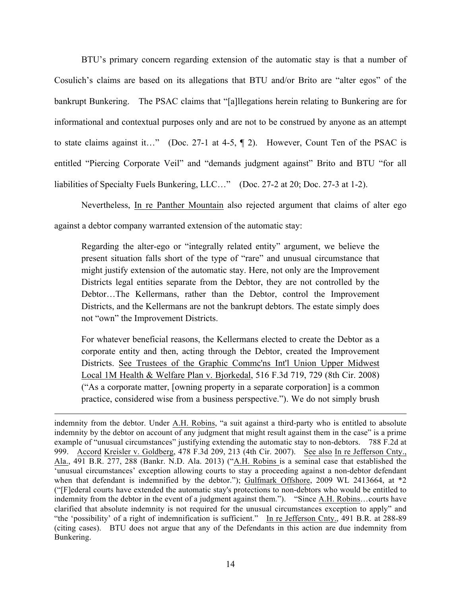BTU's primary concern regarding extension of the automatic stay is that a number of Cosulich's claims are based on its allegations that BTU and/or Brito are "alter egos" of the bankrupt Bunkering. The PSAC claims that "[a]llegations herein relating to Bunkering are for informational and contextual purposes only and are not to be construed by anyone as an attempt to state claims against it…" (Doc. 27-1 at 4-5, ¶ 2). However, Count Ten of the PSAC is entitled "Piercing Corporate Veil" and "demands judgment against" Brito and BTU "for all liabilities of Specialty Fuels Bunkering, LLC…" (Doc. 27-2 at 20; Doc. 27-3 at 1-2).

Nevertheless, In re Panther Mountain also rejected argument that claims of alter ego against a debtor company warranted extension of the automatic stay:

Regarding the alter-ego or "integrally related entity" argument, we believe the present situation falls short of the type of "rare" and unusual circumstance that might justify extension of the automatic stay. Here, not only are the Improvement Districts legal entities separate from the Debtor, they are not controlled by the Debtor…The Kellermans, rather than the Debtor, control the Improvement Districts, and the Kellermans are not the bankrupt debtors. The estate simply does not "own" the Improvement Districts.

For whatever beneficial reasons, the Kellermans elected to create the Debtor as a corporate entity and then, acting through the Debtor, created the Improvement Districts. See Trustees of the Graphic Commc'ns Int'l Union Upper Midwest Local 1M Health & Welfare Plan v. Bjorkedal, 516 F.3d 719, 729 (8th Cir. 2008) ("As a corporate matter, [owning property in a separate corporation] is a common practice, considered wise from a business perspective."). We do not simply brush

 $\overline{a}$ 

indemnity from the debtor. Under A.H. Robins, "a suit against a third-party who is entitled to absolute indemnity by the debtor on account of any judgment that might result against them in the case" is a prime example of "unusual circumstances" justifying extending the automatic stay to non-debtors. 788 F.2d at 999. Accord Kreisler v. Goldberg, 478 F.3d 209, 213 (4th Cir. 2007). See also In re Jefferson Cnty., Ala., 491 B.R. 277, 288 (Bankr. N.D. Ala. 2013) ("A.H. Robins is a seminal case that established the 'unusual circumstances' exception allowing courts to stay a proceeding against a non-debtor defendant when that defendant is indemnified by the debtor."); Gulfmark Offshore, 2009 WL 2413664, at \*2 ("[F]ederal courts have extended the automatic stay's protections to non-debtors who would be entitled to indemnity from the debtor in the event of a judgment against them."). "Since A.H. Robins...courts have clarified that absolute indemnity is not required for the unusual circumstances exception to apply" and "the 'possibility' of a right of indemnification is sufficient." In re Jefferson Cnty., 491 B.R. at 288-89 (citing cases). BTU does not argue that any of the Defendants in this action are due indemnity from Bunkering.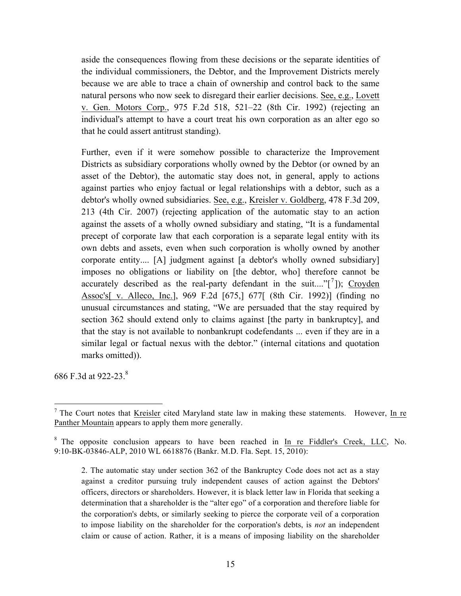aside the consequences flowing from these decisions or the separate identities of the individual commissioners, the Debtor, and the Improvement Districts merely because we are able to trace a chain of ownership and control back to the same natural persons who now seek to disregard their earlier decisions. See, e.g., Lovett v. Gen. Motors Corp., 975 F.2d 518, 521–22 (8th Cir. 1992) (rejecting an individual's attempt to have a court treat his own corporation as an alter ego so that he could assert antitrust standing).

Further, even if it were somehow possible to characterize the Improvement Districts as subsidiary corporations wholly owned by the Debtor (or owned by an asset of the Debtor), the automatic stay does not, in general, apply to actions against parties who enjoy factual or legal relationships with a debtor, such as a debtor's wholly owned subsidiaries. See, e.g., Kreisler v. Goldberg, 478 F.3d 209, 213 (4th Cir. 2007) (rejecting application of the automatic stay to an action against the assets of a wholly owned subsidiary and stating, "It is a fundamental precept of corporate law that each corporation is a separate legal entity with its own debts and assets, even when such corporation is wholly owned by another corporate entity.... [A] judgment against [a debtor's wholly owned subsidiary] imposes no obligations or liability on [the debtor, who] therefore cannot be accurately described as the real-party defendant in the suit...."[<sup>7</sup>]); Croyden Assoc's[ v. Alleco, Inc.], 969 F.2d [675,] 677[ (8th Cir. 1992)] (finding no unusual circumstances and stating, "We are persuaded that the stay required by section 362 should extend only to claims against [the party in bankruptcy], and that the stay is not available to nonbankrupt codefendants ... even if they are in a similar legal or factual nexus with the debtor." (internal citations and quotation marks omitted)).

686 F.3d at 922-23.<sup>8</sup>

 $<sup>7</sup>$  The Court notes that Kreisler cited Maryland state law in making these statements. However, In re</sup> Panther Mountain appears to apply them more generally.

<sup>&</sup>lt;sup>8</sup> The opposite conclusion appears to have been reached in In re Fiddler's Creek, LLC, No. 9:10-BK-03846-ALP, 2010 WL 6618876 (Bankr. M.D. Fla. Sept. 15, 2010):

<sup>2.</sup> The automatic stay under section 362 of the Bankruptcy Code does not act as a stay against a creditor pursuing truly independent causes of action against the Debtors' officers, directors or shareholders. However, it is black letter law in Florida that seeking a determination that a shareholder is the "alter ego" of a corporation and therefore liable for the corporation's debts, or similarly seeking to pierce the corporate veil of a corporation to impose liability on the shareholder for the corporation's debts, is *not* an independent claim or cause of action. Rather, it is a means of imposing liability on the shareholder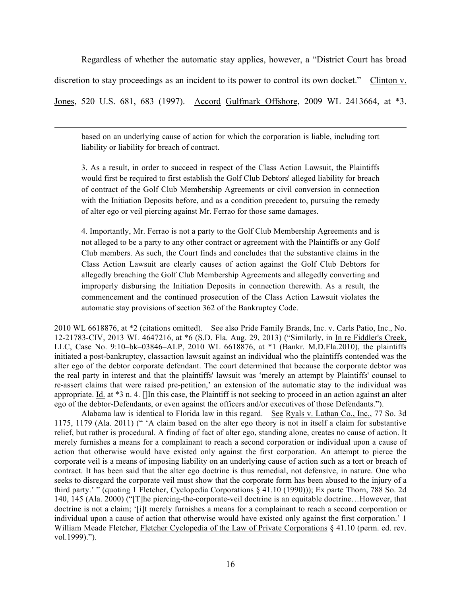Regardless of whether the automatic stay applies, however, a "District Court has broad discretion to stay proceedings as an incident to its power to control its own docket." Clinton v. Jones, 520 U.S. 681, 683 (1997). Accord Gulfmark Offshore, 2009 WL 2413664, at \*3.

based on an underlying cause of action for which the corporation is liable, including tort liability or liability for breach of contract.

 $\overline{a}$ 

3. As a result, in order to succeed in respect of the Class Action Lawsuit, the Plaintiffs would first be required to first establish the Golf Club Debtors' alleged liability for breach of contract of the Golf Club Membership Agreements or civil conversion in connection with the Initiation Deposits before, and as a condition precedent to, pursuing the remedy of alter ego or veil piercing against Mr. Ferrao for those same damages.

4. Importantly, Mr. Ferrao is not a party to the Golf Club Membership Agreements and is not alleged to be a party to any other contract or agreement with the Plaintiffs or any Golf Club members. As such, the Court finds and concludes that the substantive claims in the Class Action Lawsuit are clearly causes of action against the Golf Club Debtors for allegedly breaching the Golf Club Membership Agreements and allegedly converting and improperly disbursing the Initiation Deposits in connection therewith. As a result, the commencement and the continued prosecution of the Class Action Lawsuit violates the automatic stay provisions of section 362 of the Bankruptcy Code.

2010 WL 6618876, at \*2 (citations omitted). See also Pride Family Brands, Inc. v. Carls Patio, Inc., No. 12-21783-CIV, 2013 WL 4647216, at \*6 (S.D. Fla. Aug. 29, 2013) ("Similarly, in In re Fiddler's Creek, LLC, Case No. 9:10–bk–03846–ALP, 2010 WL 6618876, at \*1 (Bankr. M.D.Fla.2010), the plaintiffs initiated a post-bankruptcy, classaction lawsuit against an individual who the plaintiffs contended was the alter ego of the debtor corporate defendant. The court determined that because the corporate debtor was the real party in interest and that the plaintiffs' lawsuit was 'merely an attempt by Plaintiffs' counsel to re-assert claims that were raised pre-petition,' an extension of the automatic stay to the individual was appropriate. Id. at \*3 n. 4. []In this case, the Plaintiff is not seeking to proceed in an action against an alter ego of the debtor-Defendants, or even against the officers and/or executives of those Defendants.").

Alabama law is identical to Florida law in this regard. See Ryals v. Lathan Co., Inc., 77 So. 3d 1175, 1179 (Ala. 2011) (" 'A claim based on the alter ego theory is not in itself a claim for substantive relief, but rather is procedural. A finding of fact of alter ego, standing alone, creates no cause of action. It merely furnishes a means for a complainant to reach a second corporation or individual upon a cause of action that otherwise would have existed only against the first corporation. An attempt to pierce the corporate veil is a means of imposing liability on an underlying cause of action such as a tort or breach of contract. It has been said that the alter ego doctrine is thus remedial, not defensive, in nature. One who seeks to disregard the corporate veil must show that the corporate form has been abused to the injury of a third party.' " (quoting 1 Fletcher, Cyclopedia Corporations § 41.10 (1990))); Ex parte Thorn, 788 So. 2d 140, 145 (Ala. 2000) ("[T]he piercing-the-corporate-veil doctrine is an equitable doctrine…However, that doctrine is not a claim; '[i]t merely furnishes a means for a complainant to reach a second corporation or individual upon a cause of action that otherwise would have existed only against the first corporation.' 1 William Meade Fletcher, Fletcher Cyclopedia of the Law of Private Corporations § 41.10 (perm. ed. rev. vol.1999).").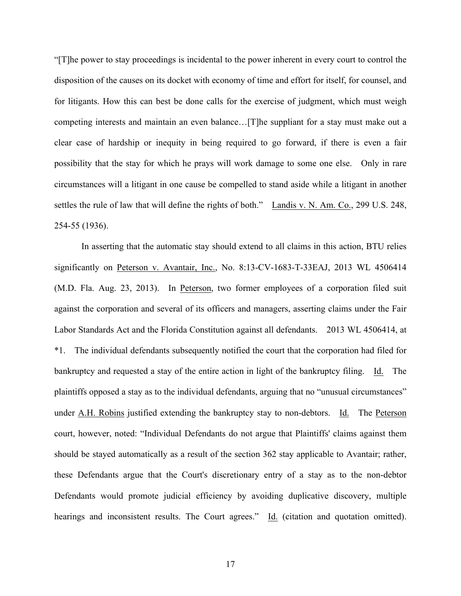"[T]he power to stay proceedings is incidental to the power inherent in every court to control the disposition of the causes on its docket with economy of time and effort for itself, for counsel, and for litigants. How this can best be done calls for the exercise of judgment, which must weigh competing interests and maintain an even balance…[T]he suppliant for a stay must make out a clear case of hardship or inequity in being required to go forward, if there is even a fair possibility that the stay for which he prays will work damage to some one else. Only in rare circumstances will a litigant in one cause be compelled to stand aside while a litigant in another settles the rule of law that will define the rights of both." Landis v. N. Am. Co., 299 U.S. 248, 254-55 (1936).

In asserting that the automatic stay should extend to all claims in this action, BTU relies significantly on Peterson v. Avantair, Inc., No. 8:13-CV-1683-T-33EAJ, 2013 WL 4506414 (M.D. Fla. Aug. 23, 2013). In Peterson, two former employees of a corporation filed suit against the corporation and several of its officers and managers, asserting claims under the Fair Labor Standards Act and the Florida Constitution against all defendants. 2013 WL 4506414, at \*1. The individual defendants subsequently notified the court that the corporation had filed for bankruptcy and requested a stay of the entire action in light of the bankruptcy filing. Id. The plaintiffs opposed a stay as to the individual defendants, arguing that no "unusual circumstances" under A.H. Robins justified extending the bankruptcy stay to non-debtors. Id. The Peterson court, however, noted: "Individual Defendants do not argue that Plaintiffs' claims against them should be stayed automatically as a result of the section 362 stay applicable to Avantair; rather, these Defendants argue that the Court's discretionary entry of a stay as to the non-debtor Defendants would promote judicial efficiency by avoiding duplicative discovery, multiple hearings and inconsistent results. The Court agrees." Id. (citation and quotation omitted).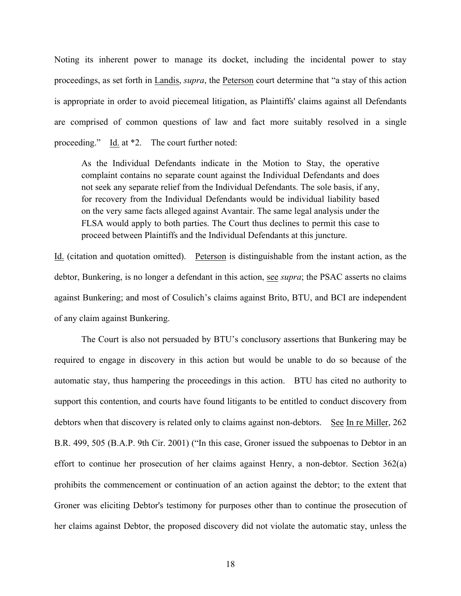Noting its inherent power to manage its docket, including the incidental power to stay proceedings, as set forth in Landis, *supra*, the Peterson court determine that "a stay of this action is appropriate in order to avoid piecemeal litigation, as Plaintiffs' claims against all Defendants are comprised of common questions of law and fact more suitably resolved in a single proceeding." Id. at \*2. The court further noted:

As the Individual Defendants indicate in the Motion to Stay, the operative complaint contains no separate count against the Individual Defendants and does not seek any separate relief from the Individual Defendants. The sole basis, if any, for recovery from the Individual Defendants would be individual liability based on the very same facts alleged against Avantair. The same legal analysis under the FLSA would apply to both parties. The Court thus declines to permit this case to proceed between Plaintiffs and the Individual Defendants at this juncture.

Id. (citation and quotation omitted). Peterson is distinguishable from the instant action, as the debtor, Bunkering, is no longer a defendant in this action, see *supra*; the PSAC asserts no claims against Bunkering; and most of Cosulich's claims against Brito, BTU, and BCI are independent of any claim against Bunkering.

The Court is also not persuaded by BTU's conclusory assertions that Bunkering may be required to engage in discovery in this action but would be unable to do so because of the automatic stay, thus hampering the proceedings in this action. BTU has cited no authority to support this contention, and courts have found litigants to be entitled to conduct discovery from debtors when that discovery is related only to claims against non-debtors. See In re Miller, 262 B.R. 499, 505 (B.A.P. 9th Cir. 2001) ("In this case, Groner issued the subpoenas to Debtor in an effort to continue her prosecution of her claims against Henry, a non-debtor. Section 362(a) prohibits the commencement or continuation of an action against the debtor; to the extent that Groner was eliciting Debtor's testimony for purposes other than to continue the prosecution of her claims against Debtor, the proposed discovery did not violate the automatic stay, unless the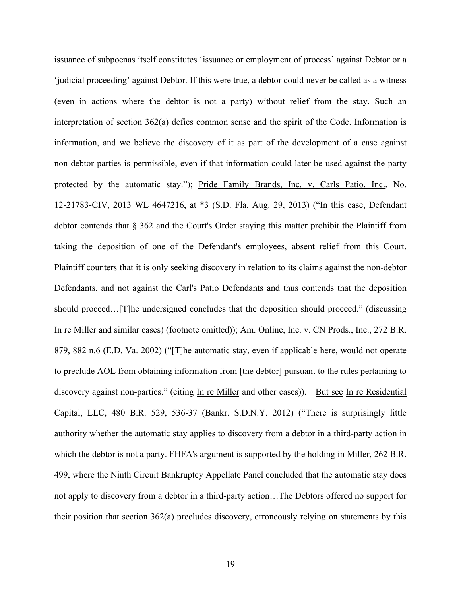issuance of subpoenas itself constitutes 'issuance or employment of process' against Debtor or a 'judicial proceeding' against Debtor. If this were true, a debtor could never be called as a witness (even in actions where the debtor is not a party) without relief from the stay. Such an interpretation of section 362(a) defies common sense and the spirit of the Code. Information is information, and we believe the discovery of it as part of the development of a case against non-debtor parties is permissible, even if that information could later be used against the party protected by the automatic stay."); Pride Family Brands, Inc. v. Carls Patio, Inc., No. 12-21783-CIV, 2013 WL 4647216, at \*3 (S.D. Fla. Aug. 29, 2013) ("In this case, Defendant debtor contends that § 362 and the Court's Order staying this matter prohibit the Plaintiff from taking the deposition of one of the Defendant's employees, absent relief from this Court. Plaintiff counters that it is only seeking discovery in relation to its claims against the non-debtor Defendants, and not against the Carl's Patio Defendants and thus contends that the deposition should proceed…[T]he undersigned concludes that the deposition should proceed." (discussing In re Miller and similar cases) (footnote omitted)); Am. Online, Inc. v. CN Prods., Inc., 272 B.R. 879, 882 n.6 (E.D. Va. 2002) ("[T]he automatic stay, even if applicable here, would not operate to preclude AOL from obtaining information from [the debtor] pursuant to the rules pertaining to discovery against non-parties." (citing In re Miller and other cases)). But see In re Residential Capital, LLC, 480 B.R. 529, 536-37 (Bankr. S.D.N.Y. 2012) ("There is surprisingly little authority whether the automatic stay applies to discovery from a debtor in a third-party action in which the debtor is not a party. FHFA's argument is supported by the holding in Miller, 262 B.R. 499, where the Ninth Circuit Bankruptcy Appellate Panel concluded that the automatic stay does not apply to discovery from a debtor in a third-party action…The Debtors offered no support for their position that section 362(a) precludes discovery, erroneously relying on statements by this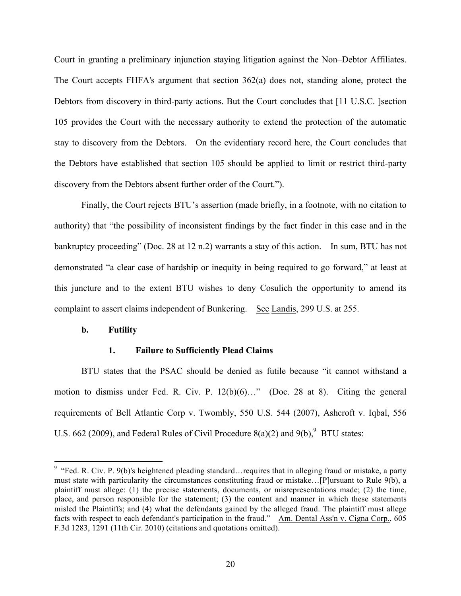Court in granting a preliminary injunction staying litigation against the Non–Debtor Affiliates. The Court accepts FHFA's argument that section 362(a) does not, standing alone, protect the Debtors from discovery in third-party actions. But the Court concludes that [11 U.S.C. ]section 105 provides the Court with the necessary authority to extend the protection of the automatic stay to discovery from the Debtors. On the evidentiary record here, the Court concludes that the Debtors have established that section 105 should be applied to limit or restrict third-party discovery from the Debtors absent further order of the Court.").

Finally, the Court rejects BTU's assertion (made briefly, in a footnote, with no citation to authority) that "the possibility of inconsistent findings by the fact finder in this case and in the bankruptcy proceeding" (Doc. 28 at 12 n.2) warrants a stay of this action. In sum, BTU has not demonstrated "a clear case of hardship or inequity in being required to go forward," at least at this juncture and to the extent BTU wishes to deny Cosulich the opportunity to amend its complaint to assert claims independent of Bunkering. See Landis, 299 U.S. at 255.

#### **b. Futility**

## **1. Failure to Sufficiently Plead Claims**

BTU states that the PSAC should be denied as futile because "it cannot withstand a motion to dismiss under Fed. R. Civ. P. 12(b)(6)…" (Doc. 28 at 8). Citing the general requirements of Bell Atlantic Corp v. Twombly, 550 U.S. 544 (2007), Ashcroft v. Iqbal, 556 U.S. 662 (2009), and Federal Rules of Civil Procedure  $8(a)(2)$  and  $9(b)$ , BTU states:

<sup>&</sup>lt;sup>9</sup> "Fed. R. Civ. P. 9(b)'s heightened pleading standard... requires that in alleging fraud or mistake, a party must state with particularity the circumstances constituting fraud or mistake…[P]ursuant to Rule 9(b), a plaintiff must allege: (1) the precise statements, documents, or misrepresentations made; (2) the time, place, and person responsible for the statement; (3) the content and manner in which these statements misled the Plaintiffs; and (4) what the defendants gained by the alleged fraud. The plaintiff must allege facts with respect to each defendant's participation in the fraud." Am. Dental Ass'n v. Cigna Corp., 605 F.3d 1283, 1291 (11th Cir. 2010) (citations and quotations omitted).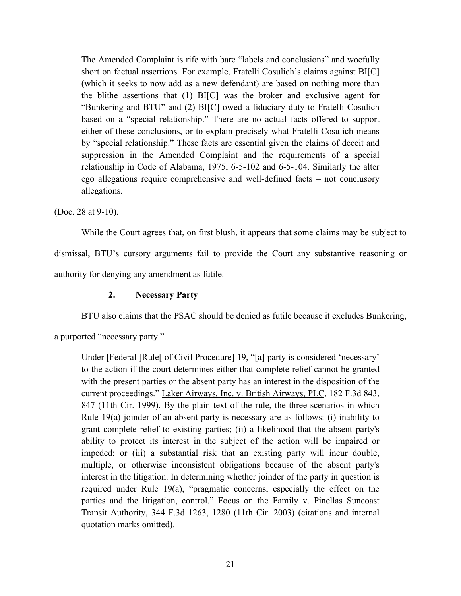The Amended Complaint is rife with bare "labels and conclusions" and woefully short on factual assertions. For example, Fratelli Cosulich's claims against BI[C] (which it seeks to now add as a new defendant) are based on nothing more than the blithe assertions that (1) BI[C] was the broker and exclusive agent for "Bunkering and BTU" and (2) BI[C] owed a fiduciary duty to Fratelli Cosulich based on a "special relationship." There are no actual facts offered to support either of these conclusions, or to explain precisely what Fratelli Cosulich means by "special relationship." These facts are essential given the claims of deceit and suppression in the Amended Complaint and the requirements of a special relationship in Code of Alabama, 1975, 6-5-102 and 6-5-104. Similarly the alter ego allegations require comprehensive and well-defined facts – not conclusory allegations.

(Doc. 28 at 9-10).

While the Court agrees that, on first blush, it appears that some claims may be subject to dismissal, BTU's cursory arguments fail to provide the Court any substantive reasoning or authority for denying any amendment as futile.

# **2. Necessary Party**

BTU also claims that the PSAC should be denied as futile because it excludes Bunkering,

a purported "necessary party."

Under [Federal ]Rule[ of Civil Procedure] 19, "[a] party is considered 'necessary' to the action if the court determines either that complete relief cannot be granted with the present parties or the absent party has an interest in the disposition of the current proceedings." Laker Airways, Inc. v. British Airways, PLC, 182 F.3d 843, 847 (11th Cir. 1999). By the plain text of the rule, the three scenarios in which Rule 19(a) joinder of an absent party is necessary are as follows: (i) inability to grant complete relief to existing parties; (ii) a likelihood that the absent party's ability to protect its interest in the subject of the action will be impaired or impeded; or (iii) a substantial risk that an existing party will incur double, multiple, or otherwise inconsistent obligations because of the absent party's interest in the litigation. In determining whether joinder of the party in question is required under Rule 19(a), "pragmatic concerns, especially the effect on the parties and the litigation, control." Focus on the Family v. Pinellas Suncoast Transit Authority, 344 F.3d 1263, 1280 (11th Cir. 2003) (citations and internal quotation marks omitted).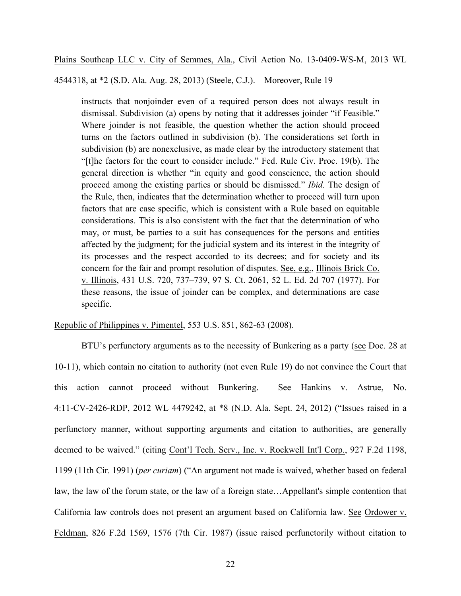Plains Southcap LLC v. City of Semmes, Ala., Civil Action No. 13-0409-WS-M, 2013 WL

4544318, at \*2 (S.D. Ala. Aug. 28, 2013) (Steele, C.J.). Moreover, Rule 19

instructs that nonjoinder even of a required person does not always result in dismissal. Subdivision (a) opens by noting that it addresses joinder "if Feasible." Where joinder is not feasible, the question whether the action should proceed turns on the factors outlined in subdivision (b). The considerations set forth in subdivision (b) are nonexclusive, as made clear by the introductory statement that "[t]he factors for the court to consider include." Fed. Rule Civ. Proc. 19(b). The general direction is whether "in equity and good conscience, the action should proceed among the existing parties or should be dismissed." *Ibid.* The design of the Rule, then, indicates that the determination whether to proceed will turn upon factors that are case specific, which is consistent with a Rule based on equitable considerations. This is also consistent with the fact that the determination of who may, or must, be parties to a suit has consequences for the persons and entities affected by the judgment; for the judicial system and its interest in the integrity of its processes and the respect accorded to its decrees; and for society and its concern for the fair and prompt resolution of disputes. See, e.g., Illinois Brick Co. v. Illinois, 431 U.S. 720, 737–739, 97 S. Ct. 2061, 52 L. Ed. 2d 707 (1977). For these reasons, the issue of joinder can be complex, and determinations are case specific.

Republic of Philippines v. Pimentel, 553 U.S. 851, 862-63 (2008).

BTU's perfunctory arguments as to the necessity of Bunkering as a party (see Doc. 28 at 10-11), which contain no citation to authority (not even Rule 19) do not convince the Court that this action cannot proceed without Bunkering. See Hankins v. Astrue, No. 4:11-CV-2426-RDP, 2012 WL 4479242, at \*8 (N.D. Ala. Sept. 24, 2012) ("Issues raised in a perfunctory manner, without supporting arguments and citation to authorities, are generally deemed to be waived." (citing Cont'l Tech. Serv., Inc. v. Rockwell Int'l Corp., 927 F.2d 1198, 1199 (11th Cir. 1991) (*per curiam*) ("An argument not made is waived, whether based on federal law, the law of the forum state, or the law of a foreign state…Appellant's simple contention that California law controls does not present an argument based on California law. See Ordower v. Feldman, 826 F.2d 1569, 1576 (7th Cir. 1987) (issue raised perfunctorily without citation to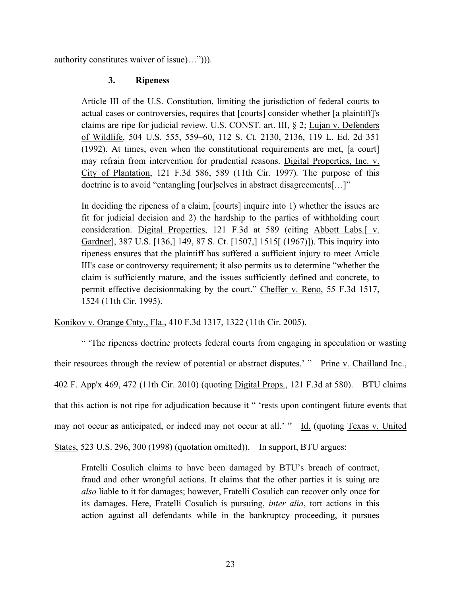authority constitutes waiver of issue)…"))).

# **3. Ripeness**

Article III of the U.S. Constitution, limiting the jurisdiction of federal courts to actual cases or controversies, requires that [courts] consider whether [a plaintiff]'s claims are ripe for judicial review. U.S. CONST. art. III, § 2; Lujan v. Defenders of Wildlife, 504 U.S. 555, 559–60, 112 S. Ct. 2130, 2136, 119 L. Ed. 2d 351 (1992). At times, even when the constitutional requirements are met, [a court] may refrain from intervention for prudential reasons. Digital Properties, Inc. v. City of Plantation, 121 F.3d 586, 589 (11th Cir. 1997)*.* The purpose of this doctrine is to avoid "entangling [our]selves in abstract disagreements[…]"

In deciding the ripeness of a claim, [courts] inquire into 1) whether the issues are fit for judicial decision and 2) the hardship to the parties of withholding court consideration. Digital Properties, 121 F.3d at 589 (citing Abbott Labs.[ v. Gardner], 387 U.S. [136,] 149, 87 S. Ct. [1507,] 1515[ (1967)]). This inquiry into ripeness ensures that the plaintiff has suffered a sufficient injury to meet Article III's case or controversy requirement; it also permits us to determine "whether the claim is sufficiently mature, and the issues sufficiently defined and concrete, to permit effective decisionmaking by the court." Cheffer v. Reno, 55 F.3d 1517, 1524 (11th Cir. 1995).

Konikov v. Orange Cnty., Fla., 410 F.3d 1317, 1322 (11th Cir. 2005).

" 'The ripeness doctrine protects federal courts from engaging in speculation or wasting their resources through the review of potential or abstract disputes.' " Prine v. Chailland Inc., 402 F. App'x 469, 472 (11th Cir. 2010) (quoting Digital Props., 121 F.3d at 580). BTU claims that this action is not ripe for adjudication because it " 'rests upon contingent future events that may not occur as anticipated, or indeed may not occur at all.' " Id. (quoting Texas v. United States, 523 U.S. 296, 300 (1998) (quotation omitted)). In support, BTU argues:

Fratelli Cosulich claims to have been damaged by BTU's breach of contract, fraud and other wrongful actions. It claims that the other parties it is suing are *also* liable to it for damages; however, Fratelli Cosulich can recover only once for its damages. Here, Fratelli Cosulich is pursuing, *inter alia*, tort actions in this action against all defendants while in the bankruptcy proceeding, it pursues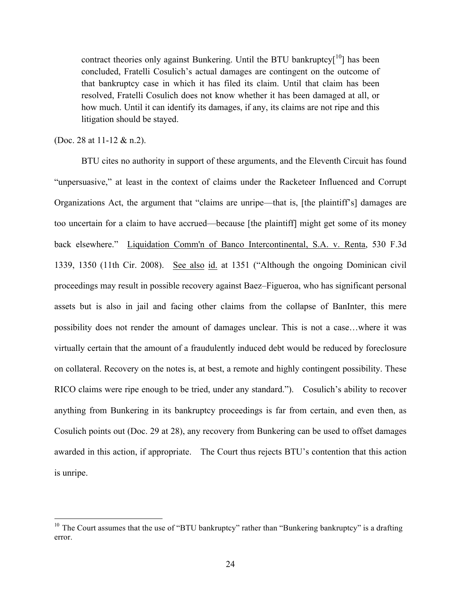contract theories only against Bunkering. Until the BTU bankruptcy $[10]$  has been concluded, Fratelli Cosulich's actual damages are contingent on the outcome of that bankruptcy case in which it has filed its claim. Until that claim has been resolved, Fratelli Cosulich does not know whether it has been damaged at all, or how much. Until it can identify its damages, if any, its claims are not ripe and this litigation should be stayed.

(Doc. 28 at 11-12 & n.2).

BTU cites no authority in support of these arguments, and the Eleventh Circuit has found "unpersuasive," at least in the context of claims under the Racketeer Influenced and Corrupt Organizations Act, the argument that "claims are unripe—that is, [the plaintiff's] damages are too uncertain for a claim to have accrued—because [the plaintiff] might get some of its money back elsewhere." Liquidation Comm'n of Banco Intercontinental, S.A. v. Renta, 530 F.3d 1339, 1350 (11th Cir. 2008). See also id. at 1351 ("Although the ongoing Dominican civil proceedings may result in possible recovery against Baez–Figueroa, who has significant personal assets but is also in jail and facing other claims from the collapse of BanInter, this mere possibility does not render the amount of damages unclear. This is not a case…where it was virtually certain that the amount of a fraudulently induced debt would be reduced by foreclosure on collateral. Recovery on the notes is, at best, a remote and highly contingent possibility. These RICO claims were ripe enough to be tried, under any standard."). Cosulich's ability to recover anything from Bunkering in its bankruptcy proceedings is far from certain, and even then, as Cosulich points out (Doc. 29 at 28), any recovery from Bunkering can be used to offset damages awarded in this action, if appropriate. The Court thus rejects BTU's contention that this action is unripe.

<sup>&</sup>lt;sup>10</sup> The Court assumes that the use of "BTU bankruptcy" rather than "Bunkering bankruptcy" is a drafting error.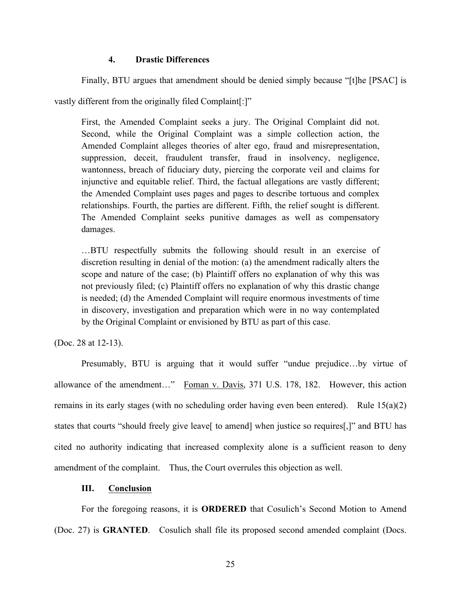# **4. Drastic Differences**

Finally, BTU argues that amendment should be denied simply because "[t]he [PSAC] is

vastly different from the originally filed Complaint[:]"

First, the Amended Complaint seeks a jury. The Original Complaint did not. Second, while the Original Complaint was a simple collection action, the Amended Complaint alleges theories of alter ego, fraud and misrepresentation, suppression, deceit, fraudulent transfer, fraud in insolvency, negligence, wantonness, breach of fiduciary duty, piercing the corporate veil and claims for injunctive and equitable relief. Third, the factual allegations are vastly different; the Amended Complaint uses pages and pages to describe tortuous and complex relationships. Fourth, the parties are different. Fifth, the relief sought is different. The Amended Complaint seeks punitive damages as well as compensatory damages.

…BTU respectfully submits the following should result in an exercise of discretion resulting in denial of the motion: (a) the amendment radically alters the scope and nature of the case; (b) Plaintiff offers no explanation of why this was not previously filed; (c) Plaintiff offers no explanation of why this drastic change is needed; (d) the Amended Complaint will require enormous investments of time in discovery, investigation and preparation which were in no way contemplated by the Original Complaint or envisioned by BTU as part of this case.

(Doc. 28 at 12-13).

Presumably, BTU is arguing that it would suffer "undue prejudice…by virtue of allowance of the amendment…" Foman v. Davis, 371 U.S. 178, 182. However, this action remains in its early stages (with no scheduling order having even been entered). Rule 15(a)(2) states that courts "should freely give leave[ to amend] when justice so requires[,]" and BTU has cited no authority indicating that increased complexity alone is a sufficient reason to deny amendment of the complaint. Thus, the Court overrules this objection as well.

## **III. Conclusion**

For the foregoing reasons, it is **ORDERED** that Cosulich's Second Motion to Amend (Doc. 27) is **GRANTED**. Cosulich shall file its proposed second amended complaint (Docs.